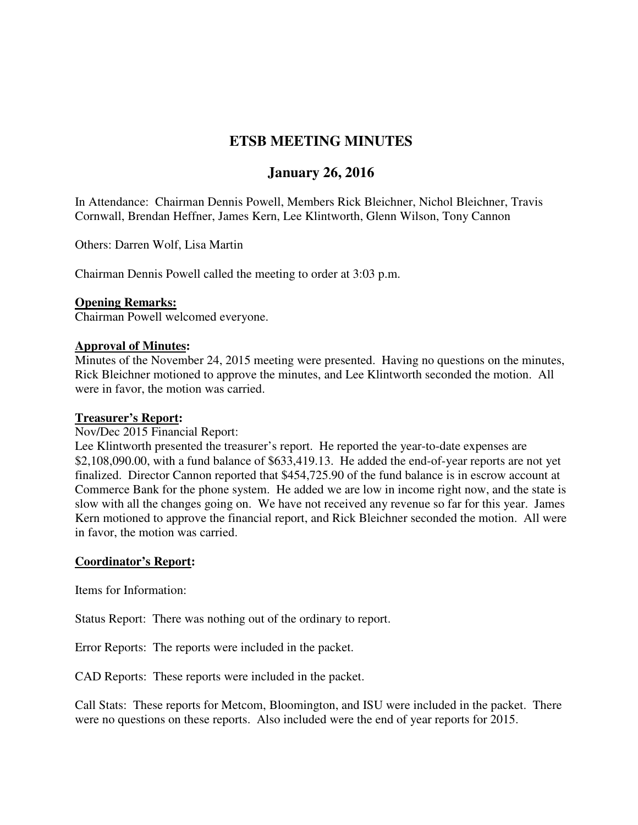# **ETSB MEETING MINUTES**

# **January 26, 2016**

In Attendance: Chairman Dennis Powell, Members Rick Bleichner, Nichol Bleichner, Travis Cornwall, Brendan Heffner, James Kern, Lee Klintworth, Glenn Wilson, Tony Cannon

Others: Darren Wolf, Lisa Martin

Chairman Dennis Powell called the meeting to order at 3:03 p.m.

## **Opening Remarks:**

Chairman Powell welcomed everyone.

## **Approval of Minutes:**

Minutes of the November 24, 2015 meeting were presented. Having no questions on the minutes, Rick Bleichner motioned to approve the minutes, and Lee Klintworth seconded the motion. All were in favor, the motion was carried.

#### **Treasurer's Report:**

### Nov/Dec 2015 Financial Report:

Lee Klintworth presented the treasurer's report. He reported the year-to-date expenses are \$2,108,090.00, with a fund balance of \$633,419.13. He added the end-of-year reports are not yet finalized. Director Cannon reported that \$454,725.90 of the fund balance is in escrow account at Commerce Bank for the phone system. He added we are low in income right now, and the state is slow with all the changes going on. We have not received any revenue so far for this year. James Kern motioned to approve the financial report, and Rick Bleichner seconded the motion. All were in favor, the motion was carried.

## **Coordinator's Report:**

Items for Information:

Status Report: There was nothing out of the ordinary to report.

Error Reports: The reports were included in the packet.

CAD Reports: These reports were included in the packet.

Call Stats: These reports for Metcom, Bloomington, and ISU were included in the packet. There were no questions on these reports. Also included were the end of year reports for 2015.